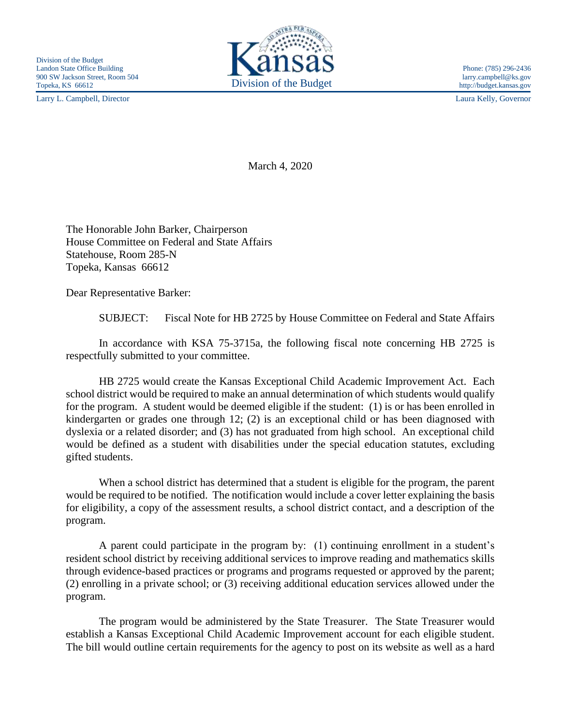Larry L. Campbell, Director Laura Kelly, Governor



http://budget.kansas.gov

March 4, 2020

The Honorable John Barker, Chairperson House Committee on Federal and State Affairs Statehouse, Room 285-N Topeka, Kansas 66612

Dear Representative Barker:

SUBJECT: Fiscal Note for HB 2725 by House Committee on Federal and State Affairs

In accordance with KSA 75-3715a, the following fiscal note concerning HB 2725 is respectfully submitted to your committee.

HB 2725 would create the Kansas Exceptional Child Academic Improvement Act. Each school district would be required to make an annual determination of which students would qualify for the program. A student would be deemed eligible if the student: (1) is or has been enrolled in kindergarten or grades one through 12; (2) is an exceptional child or has been diagnosed with dyslexia or a related disorder; and (3) has not graduated from high school. An exceptional child would be defined as a student with disabilities under the special education statutes, excluding gifted students.

When a school district has determined that a student is eligible for the program, the parent would be required to be notified. The notification would include a cover letter explaining the basis for eligibility, a copy of the assessment results, a school district contact, and a description of the program.

A parent could participate in the program by: (1) continuing enrollment in a student's resident school district by receiving additional services to improve reading and mathematics skills through evidence-based practices or programs and programs requested or approved by the parent; (2) enrolling in a private school; or (3) receiving additional education services allowed under the program.

The program would be administered by the State Treasurer. The State Treasurer would establish a Kansas Exceptional Child Academic Improvement account for each eligible student. The bill would outline certain requirements for the agency to post on its website as well as a hard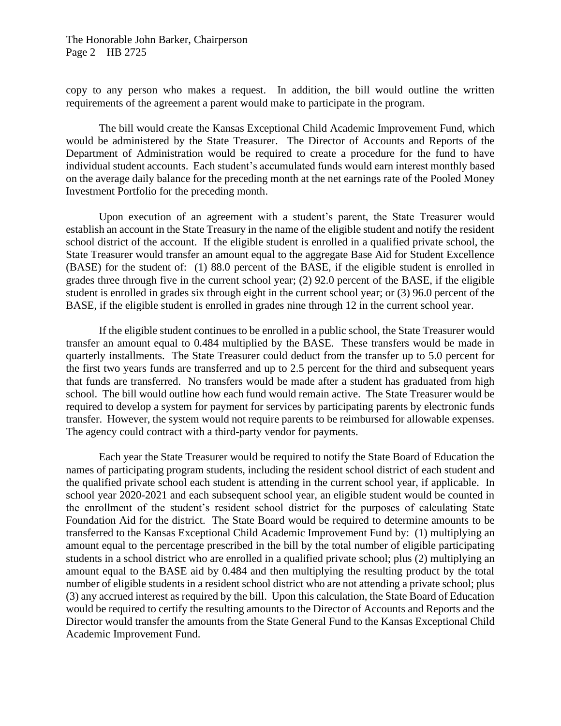The Honorable John Barker, Chairperson Page 2—HB 2725

copy to any person who makes a request. In addition, the bill would outline the written requirements of the agreement a parent would make to participate in the program.

The bill would create the Kansas Exceptional Child Academic Improvement Fund, which would be administered by the State Treasurer. The Director of Accounts and Reports of the Department of Administration would be required to create a procedure for the fund to have individual student accounts. Each student's accumulated funds would earn interest monthly based on the average daily balance for the preceding month at the net earnings rate of the Pooled Money Investment Portfolio for the preceding month.

Upon execution of an agreement with a student's parent, the State Treasurer would establish an account in the State Treasury in the name of the eligible student and notify the resident school district of the account. If the eligible student is enrolled in a qualified private school, the State Treasurer would transfer an amount equal to the aggregate Base Aid for Student Excellence (BASE) for the student of: (1) 88.0 percent of the BASE, if the eligible student is enrolled in grades three through five in the current school year; (2) 92.0 percent of the BASE, if the eligible student is enrolled in grades six through eight in the current school year; or (3) 96.0 percent of the BASE, if the eligible student is enrolled in grades nine through 12 in the current school year.

If the eligible student continues to be enrolled in a public school, the State Treasurer would transfer an amount equal to 0.484 multiplied by the BASE. These transfers would be made in quarterly installments. The State Treasurer could deduct from the transfer up to 5.0 percent for the first two years funds are transferred and up to 2.5 percent for the third and subsequent years that funds are transferred. No transfers would be made after a student has graduated from high school. The bill would outline how each fund would remain active. The State Treasurer would be required to develop a system for payment for services by participating parents by electronic funds transfer. However, the system would not require parents to be reimbursed for allowable expenses. The agency could contract with a third-party vendor for payments.

Each year the State Treasurer would be required to notify the State Board of Education the names of participating program students, including the resident school district of each student and the qualified private school each student is attending in the current school year, if applicable. In school year 2020-2021 and each subsequent school year, an eligible student would be counted in the enrollment of the student's resident school district for the purposes of calculating State Foundation Aid for the district. The State Board would be required to determine amounts to be transferred to the Kansas Exceptional Child Academic Improvement Fund by: (1) multiplying an amount equal to the percentage prescribed in the bill by the total number of eligible participating students in a school district who are enrolled in a qualified private school; plus (2) multiplying an amount equal to the BASE aid by 0.484 and then multiplying the resulting product by the total number of eligible students in a resident school district who are not attending a private school; plus (3) any accrued interest as required by the bill. Upon this calculation, the State Board of Education would be required to certify the resulting amounts to the Director of Accounts and Reports and the Director would transfer the amounts from the State General Fund to the Kansas Exceptional Child Academic Improvement Fund.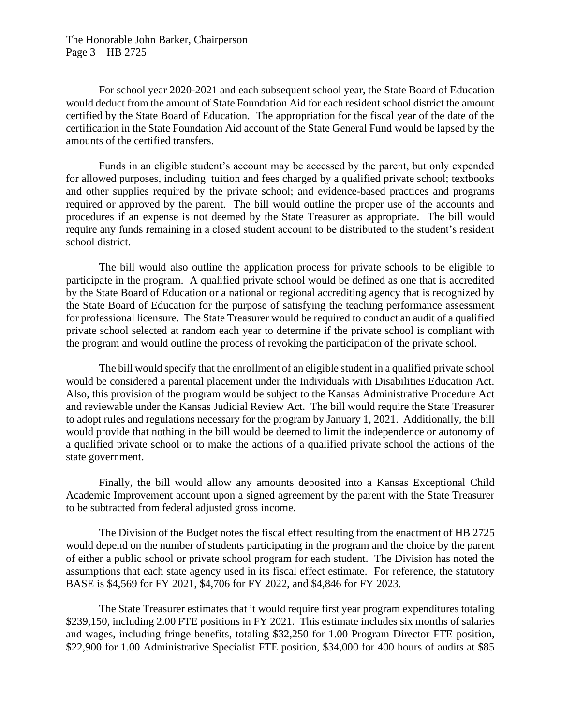The Honorable John Barker, Chairperson Page 3—HB 2725

For school year 2020-2021 and each subsequent school year, the State Board of Education would deduct from the amount of State Foundation Aid for each resident school district the amount certified by the State Board of Education. The appropriation for the fiscal year of the date of the certification in the State Foundation Aid account of the State General Fund would be lapsed by the amounts of the certified transfers.

Funds in an eligible student's account may be accessed by the parent, but only expended for allowed purposes, including tuition and fees charged by a qualified private school; textbooks and other supplies required by the private school; and evidence-based practices and programs required or approved by the parent. The bill would outline the proper use of the accounts and procedures if an expense is not deemed by the State Treasurer as appropriate. The bill would require any funds remaining in a closed student account to be distributed to the student's resident school district.

The bill would also outline the application process for private schools to be eligible to participate in the program. A qualified private school would be defined as one that is accredited by the State Board of Education or a national or regional accrediting agency that is recognized by the State Board of Education for the purpose of satisfying the teaching performance assessment for professional licensure. The State Treasurer would be required to conduct an audit of a qualified private school selected at random each year to determine if the private school is compliant with the program and would outline the process of revoking the participation of the private school.

The bill would specify that the enrollment of an eligible student in a qualified private school would be considered a parental placement under the Individuals with Disabilities Education Act. Also, this provision of the program would be subject to the Kansas Administrative Procedure Act and reviewable under the Kansas Judicial Review Act. The bill would require the State Treasurer to adopt rules and regulations necessary for the program by January 1, 2021. Additionally, the bill would provide that nothing in the bill would be deemed to limit the independence or autonomy of a qualified private school or to make the actions of a qualified private school the actions of the state government.

Finally, the bill would allow any amounts deposited into a Kansas Exceptional Child Academic Improvement account upon a signed agreement by the parent with the State Treasurer to be subtracted from federal adjusted gross income.

The Division of the Budget notes the fiscal effect resulting from the enactment of HB 2725 would depend on the number of students participating in the program and the choice by the parent of either a public school or private school program for each student. The Division has noted the assumptions that each state agency used in its fiscal effect estimate. For reference, the statutory BASE is \$4,569 for FY 2021, \$4,706 for FY 2022, and \$4,846 for FY 2023.

The State Treasurer estimates that it would require first year program expenditures totaling \$239,150, including 2.00 FTE positions in FY 2021. This estimate includes six months of salaries and wages, including fringe benefits, totaling \$32,250 for 1.00 Program Director FTE position, \$22,900 for 1.00 Administrative Specialist FTE position, \$34,000 for 400 hours of audits at \$85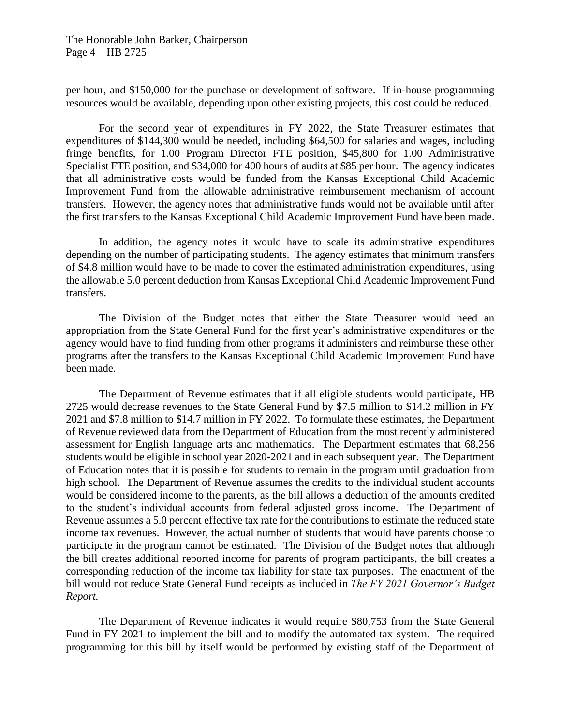per hour, and \$150,000 for the purchase or development of software. If in-house programming resources would be available, depending upon other existing projects, this cost could be reduced.

For the second year of expenditures in FY 2022, the State Treasurer estimates that expenditures of \$144,300 would be needed, including \$64,500 for salaries and wages, including fringe benefits, for 1.00 Program Director FTE position, \$45,800 for 1.00 Administrative Specialist FTE position, and \$34,000 for 400 hours of audits at \$85 per hour. The agency indicates that all administrative costs would be funded from the Kansas Exceptional Child Academic Improvement Fund from the allowable administrative reimbursement mechanism of account transfers. However, the agency notes that administrative funds would not be available until after the first transfers to the Kansas Exceptional Child Academic Improvement Fund have been made.

In addition, the agency notes it would have to scale its administrative expenditures depending on the number of participating students. The agency estimates that minimum transfers of \$4.8 million would have to be made to cover the estimated administration expenditures, using the allowable 5.0 percent deduction from Kansas Exceptional Child Academic Improvement Fund transfers.

The Division of the Budget notes that either the State Treasurer would need an appropriation from the State General Fund for the first year's administrative expenditures or the agency would have to find funding from other programs it administers and reimburse these other programs after the transfers to the Kansas Exceptional Child Academic Improvement Fund have been made.

The Department of Revenue estimates that if all eligible students would participate, HB 2725 would decrease revenues to the State General Fund by \$7.5 million to \$14.2 million in FY 2021 and \$7.8 million to \$14.7 million in FY 2022. To formulate these estimates, the Department of Revenue reviewed data from the Department of Education from the most recently administered assessment for English language arts and mathematics. The Department estimates that 68,256 students would be eligible in school year 2020-2021 and in each subsequent year. The Department of Education notes that it is possible for students to remain in the program until graduation from high school. The Department of Revenue assumes the credits to the individual student accounts would be considered income to the parents, as the bill allows a deduction of the amounts credited to the student's individual accounts from federal adjusted gross income. The Department of Revenue assumes a 5.0 percent effective tax rate for the contributions to estimate the reduced state income tax revenues. However, the actual number of students that would have parents choose to participate in the program cannot be estimated. The Division of the Budget notes that although the bill creates additional reported income for parents of program participants, the bill creates a corresponding reduction of the income tax liability for state tax purposes. The enactment of the bill would not reduce State General Fund receipts as included in *The FY 2021 Governor's Budget Report.*

The Department of Revenue indicates it would require \$80,753 from the State General Fund in FY 2021 to implement the bill and to modify the automated tax system. The required programming for this bill by itself would be performed by existing staff of the Department of